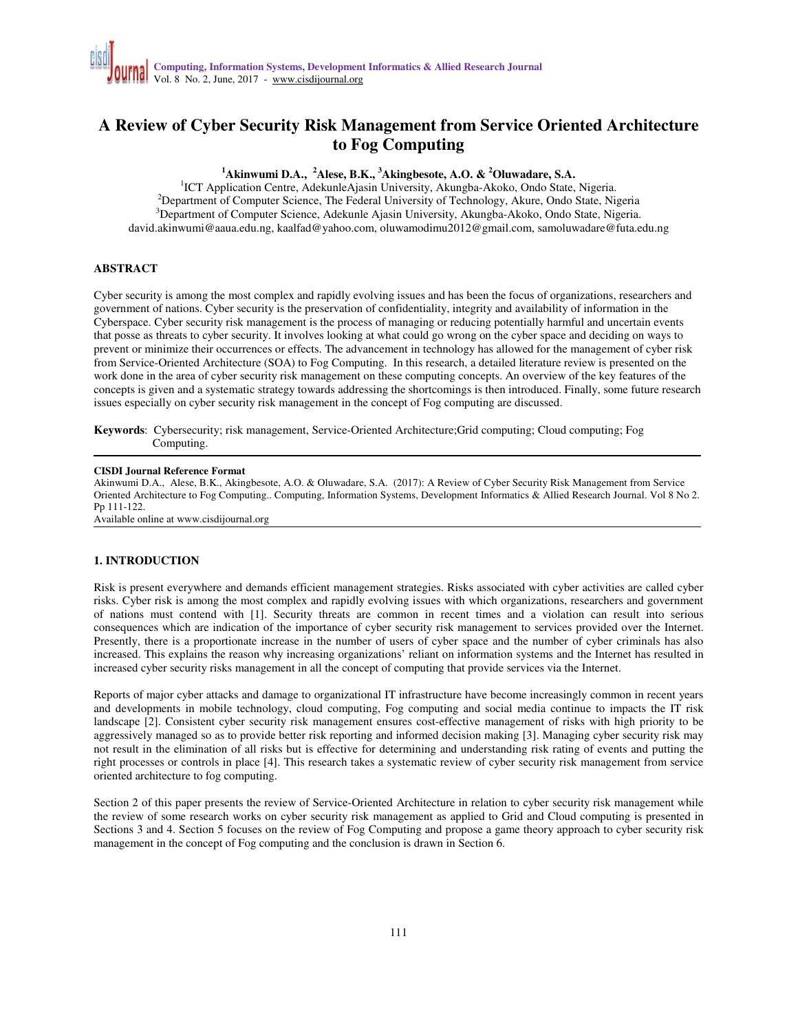# **A Review of Cyber Security Risk Management from Service Oriented Architecture to Fog Computing**

## **<sup>1</sup>Akinwumi D.A., <sup>2</sup>Alese, B.K., <sup>3</sup>Akingbesote, A.O. & <sup>2</sup>Oluwadare, S.A.**

<sup>1</sup>ICT Application Centre, AdekunleAjasin University, Akungba-Akoko, Ondo State, Nigeria. <sup>2</sup>Department of Computer Science, The Federal University of Technology, Akure, Ondo State, Nigeria <sup>3</sup>Department of Computer Science, Adekunle Ajasin University, Akungba-Akoko, Ondo State, Nigeria. david.akinwumi@aaua.edu.ng, kaalfad@yahoo.com, oluwamodimu2012@gmail.com, samoluwadare@futa.edu.ng

#### **ABSTRACT**

Cyber security is among the most complex and rapidly evolving issues and has been the focus of organizations, researchers and government of nations. Cyber security is the preservation of confidentiality, integrity and availability of information in the Cyberspace. Cyber security risk management is the process of managing or reducing potentially harmful and uncertain events that posse as threats to cyber security. It involves looking at what could go wrong on the cyber space and deciding on ways to prevent or minimize their occurrences or effects. The advancement in technology has allowed for the management of cyber risk from Service-Oriented Architecture (SOA) to Fog Computing. In this research, a detailed literature review is presented on the work done in the area of cyber security risk management on these computing concepts. An overview of the key features of the concepts is given and a systematic strategy towards addressing the shortcomings is then introduced. Finally, some future research issues especially on cyber security risk management in the concept of Fog computing are discussed.

**Keywords**: Cybersecurity; risk management, Service-Oriented Architecture;Grid computing; Cloud computing; Fog Computing.

#### **CISDI Journal Reference Format**

Akinwumi D.A., Alese, B.K., Akingbesote, A.O. & Oluwadare, S.A. (2017): A Review of Cyber Security Risk Management from Service Oriented Architecture to Fog Computing.. Computing, Information Systems, Development Informatics & Allied Research Journal. Vol 8 No 2. Pp 111-122.

Available online at www.cisdijournal.org

#### **1. INTRODUCTION**

Risk is present everywhere and demands efficient management strategies. Risks associated with cyber activities are called cyber risks. Cyber risk is among the most complex and rapidly evolving issues with which organizations, researchers and government of nations must contend with [1]. Security threats are common in recent times and a violation can result into serious consequences which are indication of the importance of cyber security risk management to services provided over the Internet. Presently, there is a proportionate increase in the number of users of cyber space and the number of cyber criminals has also increased. This explains the reason why increasing organizations' reliant on information systems and the Internet has resulted in increased cyber security risks management in all the concept of computing that provide services via the Internet.

Reports of major cyber attacks and damage to organizational IT infrastructure have become increasingly common in recent years and developments in mobile technology, cloud computing, Fog computing and social media continue to impacts the IT risk landscape [2]. Consistent cyber security risk management ensures cost-effective management of risks with high priority to be aggressively managed so as to provide better risk reporting and informed decision making [3]. Managing cyber security risk may not result in the elimination of all risks but is effective for determining and understanding risk rating of events and putting the right processes or controls in place [4]. This research takes a systematic review of cyber security risk management from service oriented architecture to fog computing.

Section 2 of this paper presents the review of Service-Oriented Architecture in relation to cyber security risk management while the review of some research works on cyber security risk management as applied to Grid and Cloud computing is presented in Sections 3 and 4. Section 5 focuses on the review of Fog Computing and propose a game theory approach to cyber security risk management in the concept of Fog computing and the conclusion is drawn in Section 6.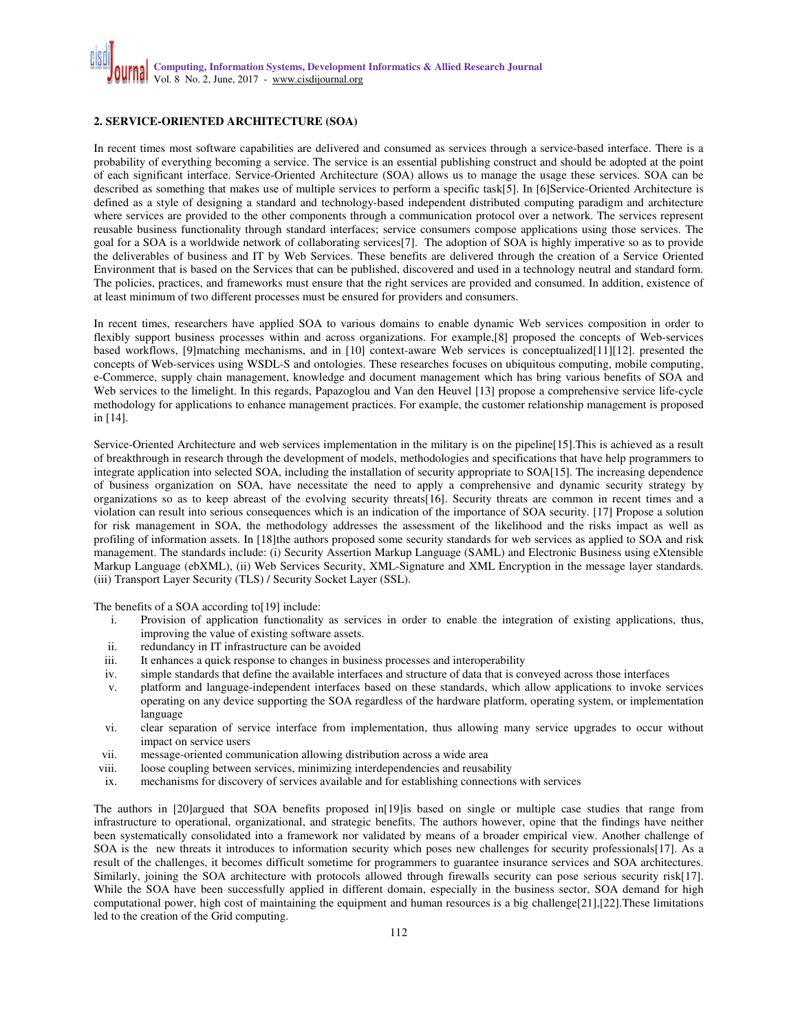## **2. SERVICE-ORIENTED ARCHITECTURE (SOA)**

In recent times most software capabilities are delivered and consumed as services through a service-based interface. There is a probability of everything becoming a service. The service is an essential publishing construct and should be adopted at the point of each significant interface. Service-Oriented Architecture (SOA) allows us to manage the usage these services. SOA can be described as something that makes use of multiple services to perform a specific task[5]. In [6]Service-Oriented Architecture is defined as a style of designing a standard and technology-based independent distributed computing paradigm and architecture where services are provided to the other components through a communication protocol over a network. The services represent reusable business functionality through standard interfaces; service consumers compose applications using those services. The goal for a SOA is a worldwide network of collaborating services[7]. The adoption of SOA is highly imperative so as to provide the deliverables of business and IT by Web Services. These benefits are delivered through the creation of a Service Oriented Environment that is based on the Services that can be published, discovered and used in a technology neutral and standard form. The policies, practices, and frameworks must ensure that the right services are provided and consumed. In addition, existence of at least minimum of two different processes must be ensured for providers and consumers.

In recent times, researchers have applied SOA to various domains to enable dynamic Web services composition in order to flexibly support business processes within and across organizations. For example,[8] proposed the concepts of Web-services based workflows, [9]matching mechanisms, and in [10] context-aware Web services is conceptualized[11][12]. presented the concepts of Web-services using WSDL-S and ontologies. These researches focuses on ubiquitous computing, mobile computing, e-Commerce, supply chain management, knowledge and document management which has bring various benefits of SOA and Web services to the limelight. In this regards, Papazoglou and Van den Heuvel [13] propose a comprehensive service life-cycle methodology for applications to enhance management practices. For example, the customer relationship management is proposed in [14].

Service-Oriented Architecture and web services implementation in the military is on the pipeline[15].This is achieved as a result of breakthrough in research through the development of models, methodologies and specifications that have help programmers to integrate application into selected SOA, including the installation of security appropriate to SOA[15]. The increasing dependence of business organization on SOA, have necessitate the need to apply a comprehensive and dynamic security strategy by organizations so as to keep abreast of the evolving security threats[16]. Security threats are common in recent times and a violation can result into serious consequences which is an indication of the importance of SOA security. [17] Propose a solution for risk management in SOA, the methodology addresses the assessment of the likelihood and the risks impact as well as profiling of information assets. In [18]the authors proposed some security standards for web services as applied to SOA and risk management. The standards include: (i) Security Assertion Markup Language (SAML) and Electronic Business using eXtensible Markup Language (ebXML), (ii) Web Services Security, XML-Signature and XML Encryption in the message layer standards. (iii) Transport Layer Security (TLS) / Security Socket Layer (SSL).

The benefits of a SOA according to[19] include:

- i. Provision of application functionality as services in order to enable the integration of existing applications, thus, improving the value of existing software assets.
- ii. redundancy in IT infrastructure can be avoided
- iii. It enhances a quick response to changes in business processes and interoperability
- iv. simple standards that define the available interfaces and structure of data that is conveyed across those interfaces
- v. platform and language-independent interfaces based on these standards, which allow applications to invoke services operating on any device supporting the SOA regardless of the hardware platform, operating system, or implementation language
- vi. clear separation of service interface from implementation, thus allowing many service upgrades to occur without impact on service users
- vii. message-oriented communication allowing distribution across a wide area
- viii. loose coupling between services, minimizing interdependencies and reusability
- ix. mechanisms for discovery of services available and for establishing connections with services

The authors in [20]argued that SOA benefits proposed in[19]is based on single or multiple case studies that range from infrastructure to operational, organizational, and strategic benefits. The authors however, opine that the findings have neither been systematically consolidated into a framework nor validated by means of a broader empirical view. Another challenge of SOA is the new threats it introduces to information security which poses new challenges for security professionals[17]. As a result of the challenges, it becomes difficult sometime for programmers to guarantee insurance services and SOA architectures. Similarly, joining the SOA architecture with protocols allowed through firewalls security can pose serious security risk[17]. While the SOA have been successfully applied in different domain, especially in the business sector, SOA demand for high computational power, high cost of maintaining the equipment and human resources is a big challenge[21],[22].These limitations led to the creation of the Grid computing.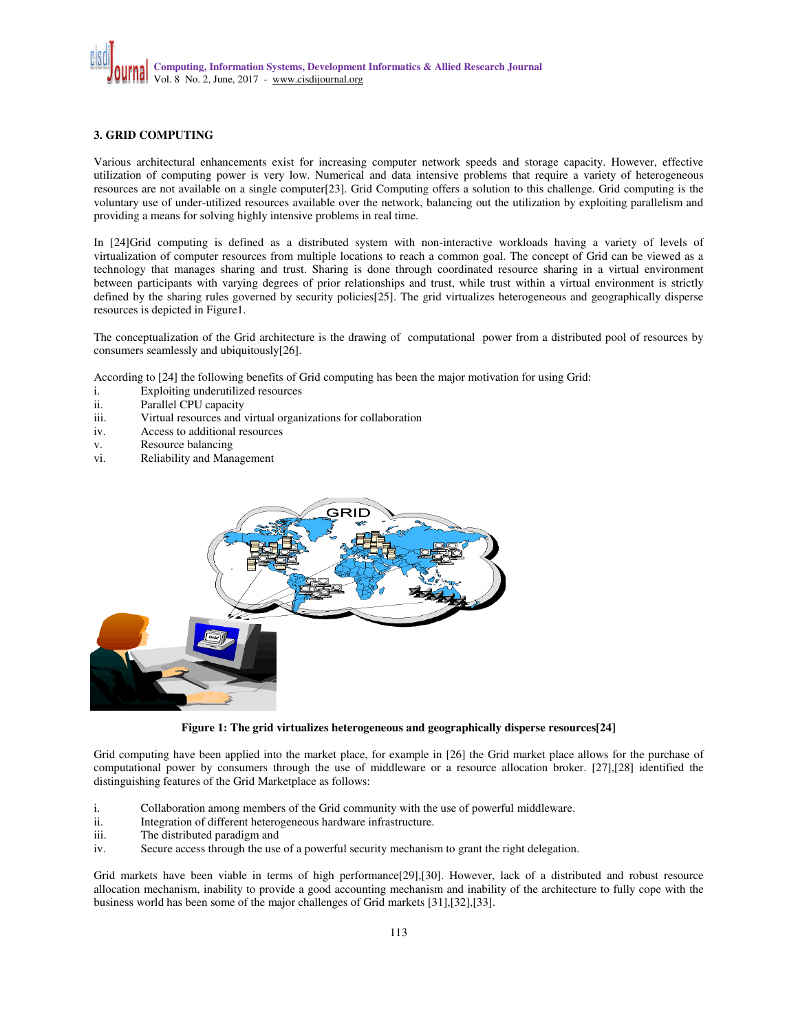### **3. GRID COMPUTING**

Various architectural enhancements exist for increasing computer network speeds and storage capacity. However, effective utilization of computing power is very low. Numerical and data intensive problems that require a variety of heterogeneous resources are not available on a single computer[23]. Grid Computing offers a solution to this challenge. Grid computing is the voluntary use of under-utilized resources available over the network, balancing out the utilization by exploiting parallelism and providing a means for solving highly intensive problems in real time.

In [24]Grid computing is defined as a distributed system with non-interactive workloads having a variety of levels of virtualization of computer resources from multiple locations to reach a common goal. The concept of Grid can be viewed as a technology that manages sharing and trust. Sharing is done through coordinated resource sharing in a virtual environment between participants with varying degrees of prior relationships and trust, while trust within a virtual environment is strictly defined by the sharing rules governed by security policies[25]. The grid virtualizes heterogeneous and geographically disperse resources is depicted in Figure1.

The conceptualization of the Grid architecture is the drawing of computational power from a distributed pool of resources by consumers seamlessly and ubiquitously[26].

According to [24] the following benefits of Grid computing has been the major motivation for using Grid:

- i. Exploiting underutilized resources
- ii. Parallel CPU capacity
- iii. Virtual resources and virtual organizations for collaboration
- iv. Access to additional resources
- v. Resource balancing<br>vi. Reliability and Man
- Reliability and Management



**Figure 1: The grid virtualizes heterogeneous and geographically disperse resources[24]** 

Grid computing have been applied into the market place, for example in [26] the Grid market place allows for the purchase of computational power by consumers through the use of middleware or a resource allocation broker. [27],[28] identified the distinguishing features of the Grid Marketplace as follows:

- i. Collaboration among members of the Grid community with the use of powerful middleware.
- ii. Integration of different heterogeneous hardware infrastructure.
- iii. The distributed paradigm and
- iv. Secure access through the use of a powerful security mechanism to grant the right delegation.

Grid markets have been viable in terms of high performance[29],[30]. However, lack of a distributed and robust resource allocation mechanism, inability to provide a good accounting mechanism and inability of the architecture to fully cope with the business world has been some of the major challenges of Grid markets [31],[32],[33].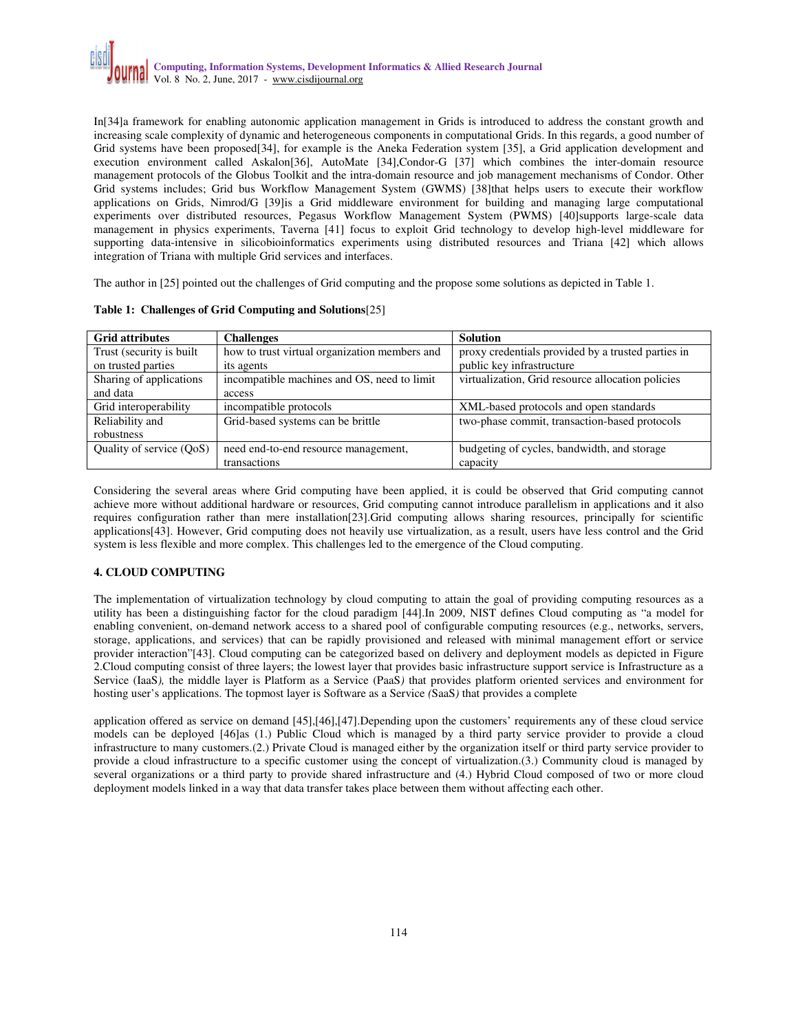In[34]a framework for enabling autonomic application management in Grids is introduced to address the constant growth and increasing scale complexity of dynamic and heterogeneous components in computational Grids. In this regards, a good number of Grid systems have been proposed[34], for example is the Aneka Federation system [35], a Grid application development and execution environment called Askalon[36], AutoMate [34],Condor-G [37] which combines the inter-domain resource management protocols of the Globus Toolkit and the intra-domain resource and job management mechanisms of Condor. Other Grid systems includes; Grid bus Workflow Management System (GWMS) [38]that helps users to execute their workflow applications on Grids, Nimrod/G [39]is a Grid middleware environment for building and managing large computational experiments over distributed resources, Pegasus Workflow Management System (PWMS) [40]supports large-scale data management in physics experiments, Taverna [41] focus to exploit Grid technology to develop high-level middleware for supporting data-intensive in silicobioinformatics experiments using distributed resources and Triana [42] which allows integration of Triana with multiple Grid services and interfaces.

The author in [25] pointed out the challenges of Grid computing and the propose some solutions as depicted in Table 1.

| <b>Grid attributes</b>     | <b>Challenges</b>                             | <b>Solution</b>                                    |
|----------------------------|-----------------------------------------------|----------------------------------------------------|
| Trust (security is built   | how to trust virtual organization members and | proxy credentials provided by a trusted parties in |
| on trusted parties         | its agents                                    | public key infrastructure                          |
| Sharing of applications    | incompatible machines and OS, need to limit   | virtualization, Grid resource allocation policies  |
| and data                   | access                                        |                                                    |
| Grid interoperability      | incompatible protocols                        | XML-based protocols and open standards             |
| Reliability and            | Grid-based systems can be brittle             | two-phase commit, transaction-based protocols      |
| robustness                 |                                               |                                                    |
| Ouality of service $(OoS)$ | need end-to-end resource management,          | budgeting of cycles, bandwidth, and storage        |
|                            | transactions                                  | capacity                                           |

#### **Table 1: Challenges of Grid Computing and Solutions**[25]

Considering the several areas where Grid computing have been applied, it is could be observed that Grid computing cannot achieve more without additional hardware or resources, Grid computing cannot introduce parallelism in applications and it also requires configuration rather than mere installation[23].Grid computing allows sharing resources, principally for scientific applications[43]. However, Grid computing does not heavily use virtualization, as a result, users have less control and the Grid system is less flexible and more complex. This challenges led to the emergence of the Cloud computing.

#### **4. CLOUD COMPUTING**

The implementation of virtualization technology by cloud computing to attain the goal of providing computing resources as a utility has been a distinguishing factor for the cloud paradigm [44].In 2009, NIST defines Cloud computing as "a model for enabling convenient, on-demand network access to a shared pool of configurable computing resources (e.g., networks, servers, storage, applications, and services) that can be rapidly provisioned and released with minimal management effort or service provider interaction"[43]. Cloud computing can be categorized based on delivery and deployment models as depicted in Figure 2.Cloud computing consist of three layers; the lowest layer that provides basic infrastructure support service is Infrastructure as a Service (IaaS*),* the middle layer is Platform as a Service (PaaS*)* that provides platform oriented services and environment for hosting user's applications. The topmost layer is Software as a Service *(*SaaS*)* that provides a complete

application offered as service on demand [45],[46],[47].Depending upon the customers' requirements any of these cloud service models can be deployed [46]as (1.) Public Cloud which is managed by a third party service provider to provide a cloud infrastructure to many customers.(2.) Private Cloud is managed either by the organization itself or third party service provider to provide a cloud infrastructure to a specific customer using the concept of virtualization.(3.) Community cloud is managed by several organizations or a third party to provide shared infrastructure and (4.) Hybrid Cloud composed of two or more cloud deployment models linked in a way that data transfer takes place between them without affecting each other.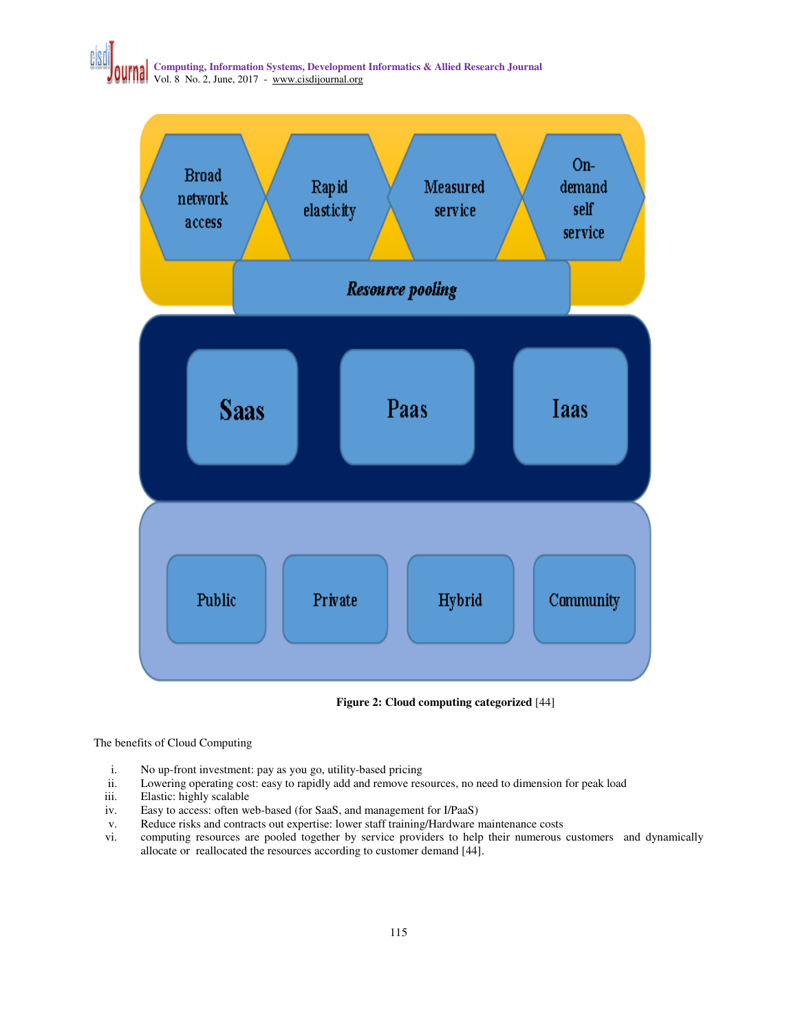



**Figure 2: Cloud computing categorized** [44]

The benefits of Cloud Computing

- i. No up-front investment: pay as you go, utility-based pricing
- ii. Lowering operating cost: easy to rapidly add and remove resources, no need to dimension for peak load
- iii. Elastic: highly scalable
- iv. Easy to access: often web-based (for SaaS, and management for I/PaaS)
- v. Reduce risks and contracts out expertise: lower staff training/Hardware maintenance costs vi. computing resources are pooled together by service providers to help their numerous
- computing resources are pooled together by service providers to help their numerous customers and dynamically allocate or reallocated the resources according to customer demand [44].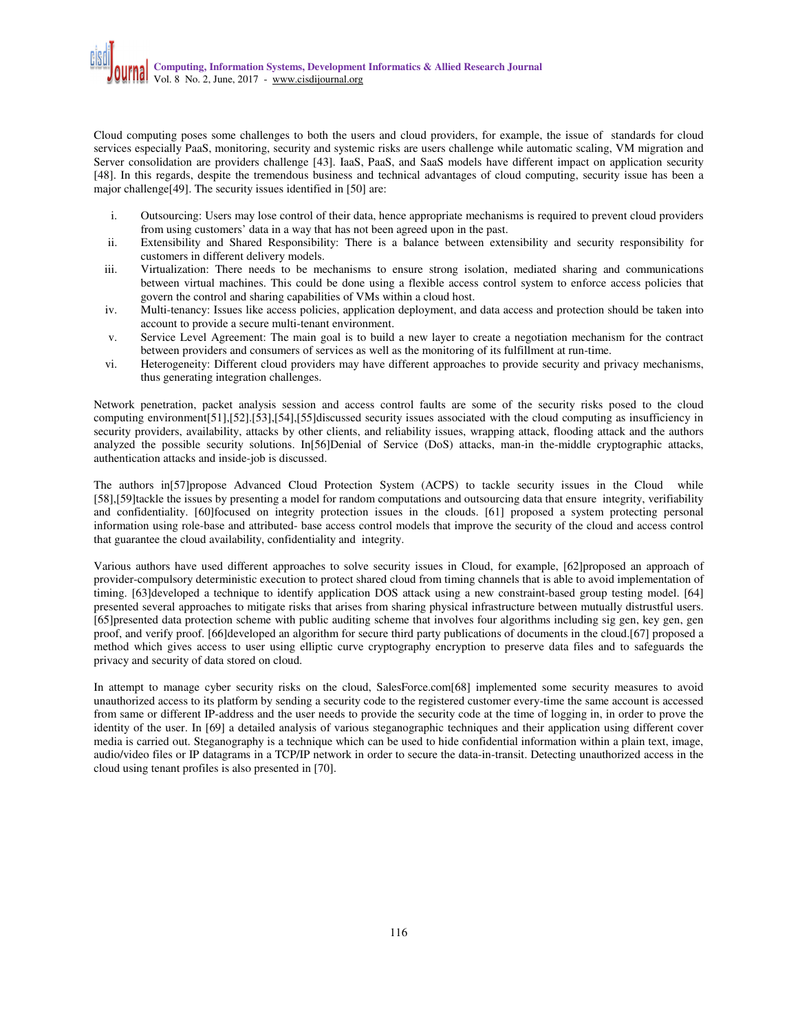Cloud computing poses some challenges to both the users and cloud providers, for example, the issue of standards for cloud services especially PaaS, monitoring, security and systemic risks are users challenge while automatic scaling, VM migration and Server consolidation are providers challenge [43]. IaaS, PaaS, and SaaS models have different impact on application security [48]. In this regards, despite the tremendous business and technical advantages of cloud computing, security issue has been a major challenge<sup>[49]</sup>. The security issues identified in [50] are:

- i. Outsourcing: Users may lose control of their data, hence appropriate mechanisms is required to prevent cloud providers from using customers' data in a way that has not been agreed upon in the past.
- ii. Extensibility and Shared Responsibility: There is a balance between extensibility and security responsibility for customers in different delivery models.
- iii. Virtualization: There needs to be mechanisms to ensure strong isolation, mediated sharing and communications between virtual machines. This could be done using a flexible access control system to enforce access policies that govern the control and sharing capabilities of VMs within a cloud host.
- iv. Multi-tenancy: Issues like access policies, application deployment, and data access and protection should be taken into account to provide a secure multi-tenant environment.
- v. Service Level Agreement: The main goal is to build a new layer to create a negotiation mechanism for the contract between providers and consumers of services as well as the monitoring of its fulfillment at run-time.
- vi. Heterogeneity: Different cloud providers may have different approaches to provide security and privacy mechanisms, thus generating integration challenges.

Network penetration, packet analysis session and access control faults are some of the security risks posed to the cloud computing environment[51],[52].[53],[54],[55]discussed security issues associated with the cloud computing as insufficiency in security providers, availability, attacks by other clients, and reliability issues, wrapping attack, flooding attack and the authors analyzed the possible security solutions. In[56]Denial of Service (DoS) attacks, man-in the-middle cryptographic attacks, authentication attacks and inside-job is discussed.

The authors in[57]propose Advanced Cloud Protection System (ACPS) to tackle security issues in the Cloud while [58],[59]tackle the issues by presenting a model for random computations and outsourcing data that ensure integrity, verifiability and confidentiality. [60]focused on integrity protection issues in the clouds. [61] proposed a system protecting personal information using role-base and attributed- base access control models that improve the security of the cloud and access control that guarantee the cloud availability, confidentiality and integrity.

Various authors have used different approaches to solve security issues in Cloud, for example, [62]proposed an approach of provider-compulsory deterministic execution to protect shared cloud from timing channels that is able to avoid implementation of timing. [63]developed a technique to identify application DOS attack using a new constraint-based group testing model. [64] presented several approaches to mitigate risks that arises from sharing physical infrastructure between mutually distrustful users. [65]presented data protection scheme with public auditing scheme that involves four algorithms including sig gen, key gen, gen proof, and verify proof. [66]developed an algorithm for secure third party publications of documents in the cloud.[67] proposed a method which gives access to user using elliptic curve cryptography encryption to preserve data files and to safeguards the privacy and security of data stored on cloud.

In attempt to manage cyber security risks on the cloud, SalesForce.com[68] implemented some security measures to avoid unauthorized access to its platform by sending a security code to the registered customer every-time the same account is accessed from same or different IP-address and the user needs to provide the security code at the time of logging in, in order to prove the identity of the user. In [69] a detailed analysis of various steganographic techniques and their application using different cover media is carried out. Steganography is a technique which can be used to hide confidential information within a plain text, image, audio/video files or IP datagrams in a TCP/IP network in order to secure the data-in-transit. Detecting unauthorized access in the cloud using tenant profiles is also presented in [70].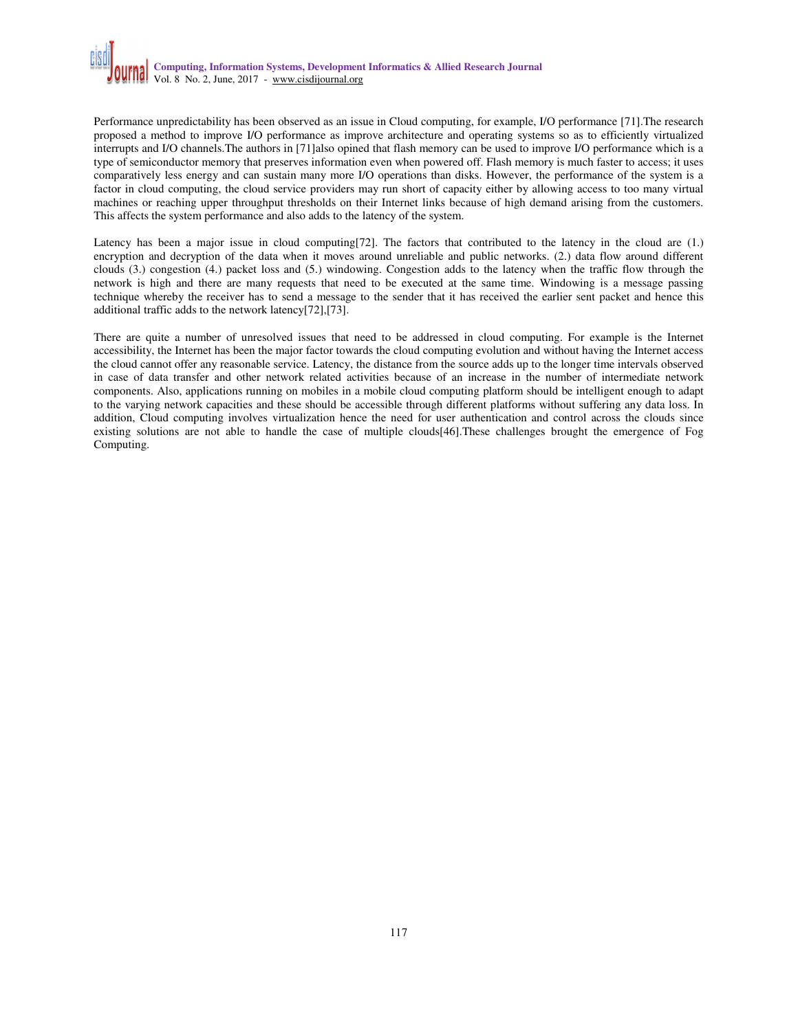Performance unpredictability has been observed as an issue in Cloud computing, for example, I/O performance [71].The research proposed a method to improve I/O performance as improve architecture and operating systems so as to efficiently virtualized interrupts and I/O channels.The authors in [71]also opined that flash memory can be used to improve I/O performance which is a type of semiconductor memory that preserves information even when powered off. Flash memory is much faster to access; it uses comparatively less energy and can sustain many more I/O operations than disks. However, the performance of the system is a factor in cloud computing, the cloud service providers may run short of capacity either by allowing access to too many virtual machines or reaching upper throughput thresholds on their Internet links because of high demand arising from the customers. This affects the system performance and also adds to the latency of the system.

Latency has been a major issue in cloud computing[72]. The factors that contributed to the latency in the cloud are (1.) encryption and decryption of the data when it moves around unreliable and public networks. (2.) data flow around different clouds (3.) congestion (4.) packet loss and (5.) windowing. Congestion adds to the latency when the traffic flow through the network is high and there are many requests that need to be executed at the same time. Windowing is a message passing technique whereby the receiver has to send a message to the sender that it has received the earlier sent packet and hence this additional traffic adds to the network latency[72],[73].

There are quite a number of unresolved issues that need to be addressed in cloud computing. For example is the Internet accessibility, the Internet has been the major factor towards the cloud computing evolution and without having the Internet access the cloud cannot offer any reasonable service. Latency, the distance from the source adds up to the longer time intervals observed in case of data transfer and other network related activities because of an increase in the number of intermediate network components. Also, applications running on mobiles in a mobile cloud computing platform should be intelligent enough to adapt to the varying network capacities and these should be accessible through different platforms without suffering any data loss. In addition, Cloud computing involves virtualization hence the need for user authentication and control across the clouds since existing solutions are not able to handle the case of multiple clouds[46].These challenges brought the emergence of Fog Computing.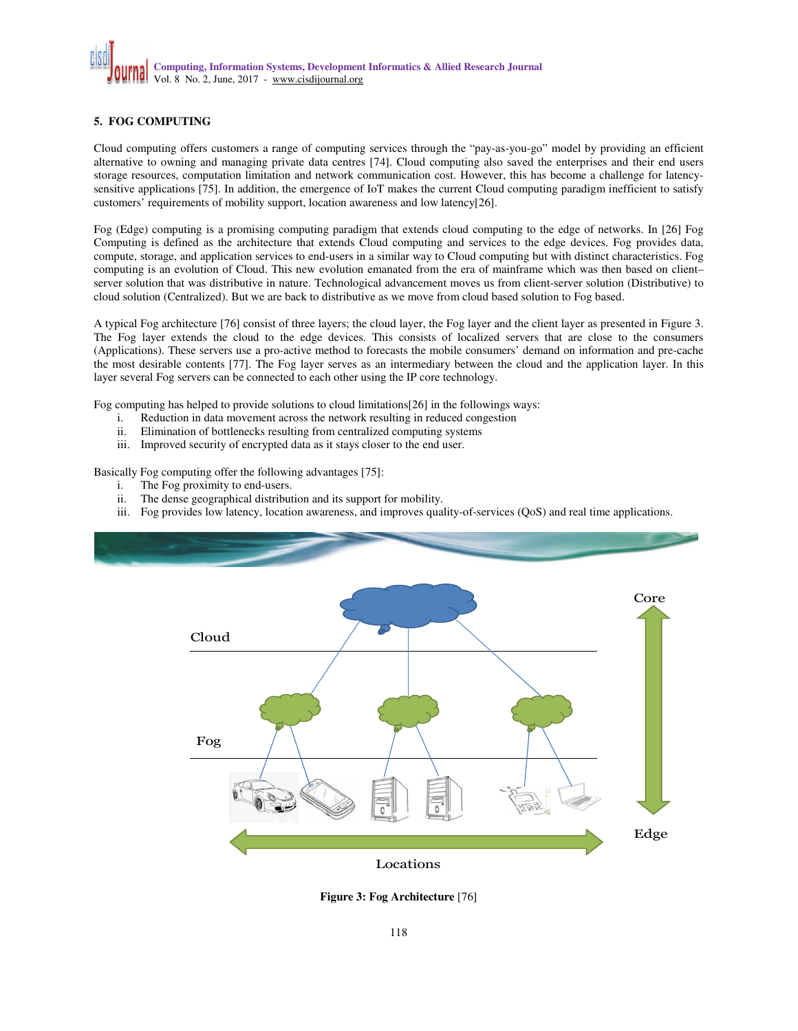# **5. FOG COMPUTING**

Cloud computing offers customers a range of computing services through the "pay-as-you-go" model by providing an efficient alternative to owning and managing private data centres [74]. Cloud computing also saved the enterprises and their end users storage resources, computation limitation and network communication cost. However, this has become a challenge for latencysensitive applications [75]. In addition, the emergence of IoT makes the current Cloud computing paradigm inefficient to satisfy customers' requirements of mobility support, location awareness and low latency[26].

Fog (Edge) computing is a promising computing paradigm that extends cloud computing to the edge of networks. In [26] Fog Computing is defined as the architecture that extends Cloud computing and services to the edge devices. Fog provides data, compute, storage, and application services to end-users in a similar way to Cloud computing but with distinct characteristics. Fog computing is an evolution of Cloud. This new evolution emanated from the era of mainframe which was then based on client– server solution that was distributive in nature. Technological advancement moves us from client-server solution (Distributive) to cloud solution (Centralized). But we are back to distributive as we move from cloud based solution to Fog based.

A typical Fog architecture [76] consist of three layers; the cloud layer, the Fog layer and the client layer as presented in Figure 3. The Fog layer extends the cloud to the edge devices. This consists of localized servers that are close to the consumers (Applications). These servers use a pro-active method to forecasts the mobile consumers' demand on information and pre-cache the most desirable contents [77]. The Fog layer serves as an intermediary between the cloud and the application layer. In this layer several Fog servers can be connected to each other using the IP core technology.

Fog computing has helped to provide solutions to cloud limitations[26] in the followings ways:

- i. Reduction in data movement across the network resulting in reduced congestion
- ii. Elimination of bottlenecks resulting from centralized computing systems
- iii. Improved security of encrypted data as it stays closer to the end user.

Basically Fog computing offer the following advantages [75]:

- i. The Fog proximity to end-users.
- ii. The dense geographical distribution and its support for mobility.
- iii. Fog provides low latency, location awareness, and improves quality-of-services (QoS) and real time applications.



**Figure 3: Fog Architecture** [76]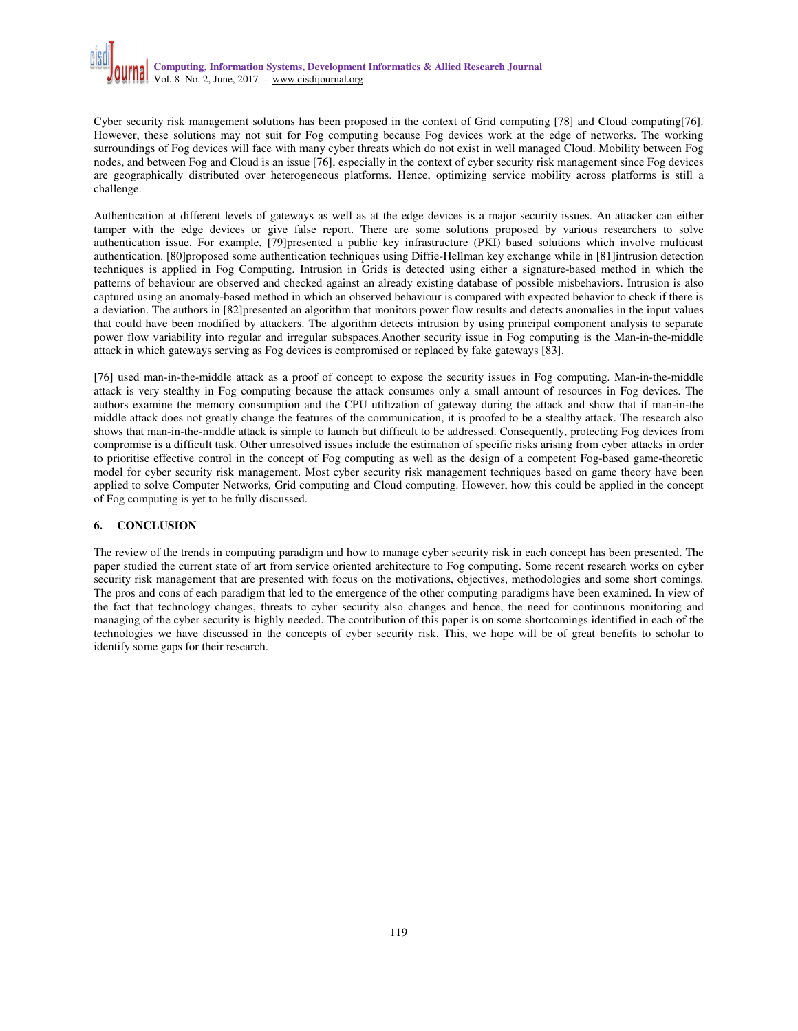Cyber security risk management solutions has been proposed in the context of Grid computing [78] and Cloud computing[76]. However, these solutions may not suit for Fog computing because Fog devices work at the edge of networks. The working surroundings of Fog devices will face with many cyber threats which do not exist in well managed Cloud. Mobility between Fog nodes, and between Fog and Cloud is an issue [76], especially in the context of cyber security risk management since Fog devices are geographically distributed over heterogeneous platforms. Hence, optimizing service mobility across platforms is still a challenge.

Authentication at different levels of gateways as well as at the edge devices is a major security issues. An attacker can either tamper with the edge devices or give false report. There are some solutions proposed by various researchers to solve authentication issue. For example, [79]presented a public key infrastructure (PKI) based solutions which involve multicast authentication. [80]proposed some authentication techniques using Diffie-Hellman key exchange while in [81]intrusion detection techniques is applied in Fog Computing. Intrusion in Grids is detected using either a signature-based method in which the patterns of behaviour are observed and checked against an already existing database of possible misbehaviors. Intrusion is also captured using an anomaly-based method in which an observed behaviour is compared with expected behavior to check if there is a deviation. The authors in [82]presented an algorithm that monitors power flow results and detects anomalies in the input values that could have been modified by attackers. The algorithm detects intrusion by using principal component analysis to separate power flow variability into regular and irregular subspaces.Another security issue in Fog computing is the Man-in-the-middle attack in which gateways serving as Fog devices is compromised or replaced by fake gateways [83].

[76] used man-in-the-middle attack as a proof of concept to expose the security issues in Fog computing. Man-in-the-middle attack is very stealthy in Fog computing because the attack consumes only a small amount of resources in Fog devices. The authors examine the memory consumption and the CPU utilization of gateway during the attack and show that if man-in-the middle attack does not greatly change the features of the communication, it is proofed to be a stealthy attack. The research also shows that man-in-the-middle attack is simple to launch but difficult to be addressed. Consequently, protecting Fog devices from compromise is a difficult task. Other unresolved issues include the estimation of specific risks arising from cyber attacks in order to prioritise effective control in the concept of Fog computing as well as the design of a competent Fog-based game-theoretic model for cyber security risk management. Most cyber security risk management techniques based on game theory have been applied to solve Computer Networks, Grid computing and Cloud computing. However, how this could be applied in the concept of Fog computing is yet to be fully discussed.

#### **6. CONCLUSION**

The review of the trends in computing paradigm and how to manage cyber security risk in each concept has been presented. The paper studied the current state of art from service oriented architecture to Fog computing. Some recent research works on cyber security risk management that are presented with focus on the motivations, objectives, methodologies and some short comings. The pros and cons of each paradigm that led to the emergence of the other computing paradigms have been examined. In view of the fact that technology changes, threats to cyber security also changes and hence, the need for continuous monitoring and managing of the cyber security is highly needed. The contribution of this paper is on some shortcomings identified in each of the technologies we have discussed in the concepts of cyber security risk. This, we hope will be of great benefits to scholar to identify some gaps for their research.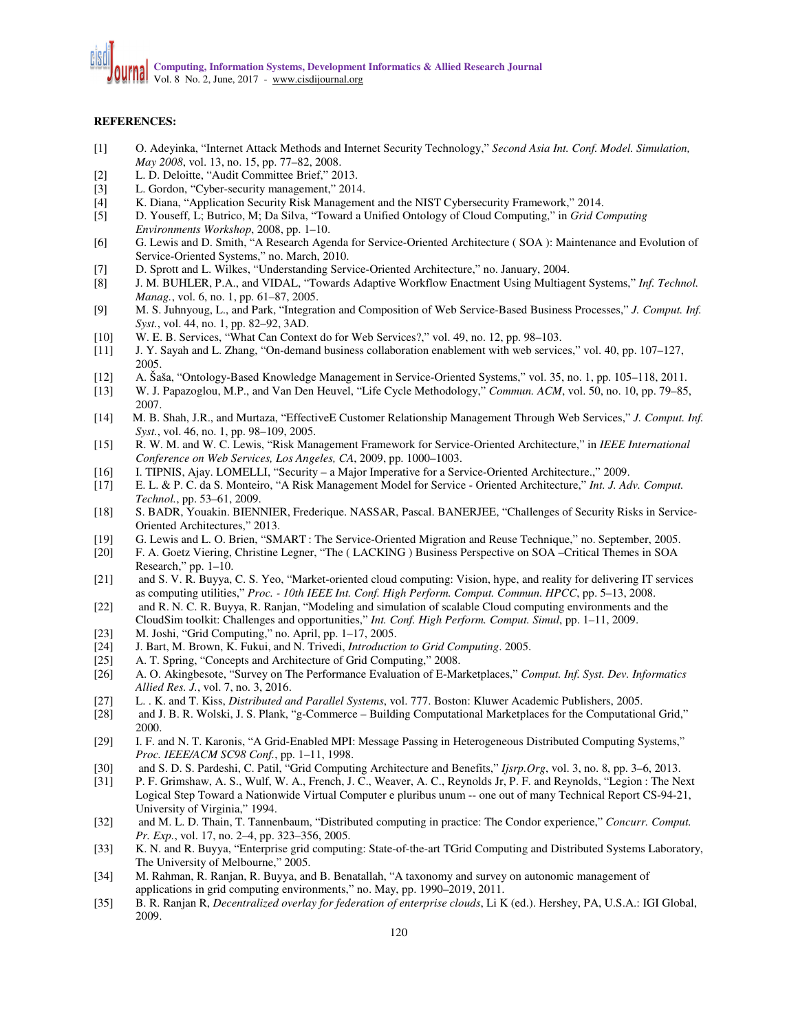#### **REFERENCES:**

- [1] O. Adeyinka, "Internet Attack Methods and Internet Security Technology," *Second Asia Int. Conf. Model. Simulation, May 2008*, vol. 13, no. 15, pp. 77–82, 2008.
- [2] L. D. Deloitte, "Audit Committee Brief," 2013.
- [3] L. Gordon, "Cyber-security management," 2014.
- [4] K. Diana, "Application Security Risk Management and the NIST Cybersecurity Framework," 2014.
- [5] D. Youseff, L; Butrico, M; Da Silva, "Toward a Unified Ontology of Cloud Computing," in *Grid Computing Environments Workshop*, 2008, pp. 1–10.
- [6] G. Lewis and D. Smith, "A Research Agenda for Service-Oriented Architecture ( SOA ): Maintenance and Evolution of Service-Oriented Systems," no. March, 2010.
- [7] D. Sprott and L. Wilkes, "Understanding Service-Oriented Architecture," no. January, 2004.
- [8] J. M. BUHLER, P.A., and VIDAL, "Towards Adaptive Workflow Enactment Using Multiagent Systems," *Inf. Technol. Manag.*, vol. 6, no. 1, pp. 61–87, 2005.
- [9] M. S. Juhnyoug, L., and Park, "Integration and Composition of Web Service-Based Business Processes," *J. Comput. Inf. Syst.*, vol. 44, no. 1, pp. 82–92, 3AD.
- [10] W. E. B. Services, "What Can Context do for Web Services?," vol. 49, no. 12, pp. 98–103.
- [11] J. Y. Sayah and L. Zhang, "On-demand business collaboration enablement with web services," vol. 40, pp. 107–127, 2005.
- [12] A. Šaša, "Ontology-Based Knowledge Management in Service-Oriented Systems," vol. 35, no. 1, pp. 105–118, 2011.
- [13] W. J. Papazoglou, M.P., and Van Den Heuvel, "Life Cycle Methodology," *Commun. ACM*, vol. 50, no. 10, pp. 79–85, 2007.
- [14] M. B. Shah, J.R., and Murtaza, "EffectiveE Customer Relationship Management Through Web Services," *J. Comput. Inf. Syst.*, vol. 46, no. 1, pp. 98–109, 2005.
- [15] R. W. M. and W. C. Lewis, "Risk Management Framework for Service-Oriented Architecture," in *IEEE International Conference on Web Services, Los Angeles, CA*, 2009, pp. 1000–1003.
- [16] I. TIPNIS, Ajay. LOMELLI, "Security a Major Imperative for a Service-Oriented Architecture.," 2009.
- [17] E. L. & P. C. da S. Monteiro, "A Risk Management Model for Service Oriented Architecture," *Int. J. Adv. Comput. Technol.*, pp. 53–61, 2009.
- [18] S. BADR, Youakin. BIENNIER, Frederique. NASSAR, Pascal. BANERJEE, "Challenges of Security Risks in Service-Oriented Architectures," 2013.
- [19] G. Lewis and L. O. Brien, "SMART : The Service-Oriented Migration and Reuse Technique," no. September, 2005.
- [20] F. A. Goetz Viering, Christine Legner, "The ( LACKING ) Business Perspective on SOA –Critical Themes in SOA Research," pp. 1–10.
- [21] and S. V. R. Buyya, C. S. Yeo, "Market-oriented cloud computing: Vision, hype, and reality for delivering IT services as computing utilities," *Proc. - 10th IEEE Int. Conf. High Perform. Comput. Commun. HPCC*, pp. 5–13, 2008.
- [22] and R. N. C. R. Buyya, R. Ranjan, "Modeling and simulation of scalable Cloud computing environments and the CloudSim toolkit: Challenges and opportunities," *Int. Conf. High Perform. Comput. Simul*, pp. 1–11, 2009.
- [23] M. Joshi, "Grid Computing," no. April, pp. 1–17, 2005.
- [24] J. Bart, M. Brown, K. Fukui, and N. Trivedi, *Introduction to Grid Computing*. 2005.
- [25] A. T. Spring, "Concepts and Architecture of Grid Computing," 2008.
- [26] A. O. Akingbesote, "Survey on The Performance Evaluation of E-Marketplaces," *Comput. Inf. Syst. Dev. Informatics Allied Res. J.*, vol. 7, no. 3, 2016.
- [27] L. . K. and T. Kiss, *Distributed and Parallel Systems*, vol. 777. Boston: Kluwer Academic Publishers, 2005.
- [28] and J. B. R. Wolski, J. S. Plank, "g-Commerce Building Computational Marketplaces for the Computational Grid," 2000.
- [29] I. F. and N. T. Karonis, "A Grid-Enabled MPI: Message Passing in Heterogeneous Distributed Computing Systems," *Proc. IEEE/ACM SC98 Conf.*, pp. 1–11, 1998.
- [30] and S. D. S. Pardeshi, C. Patil, "Grid Computing Architecture and Benefits," *Ijsrp.Org*, vol. 3, no. 8, pp. 3–6, 2013.
- [31] P. F. Grimshaw, A. S., Wulf, W. A., French, J. C., Weaver, A. C., Reynolds Jr, P. F. and Reynolds, "Legion : The Next Logical Step Toward a Nationwide Virtual Computer e pluribus unum -- one out of many Technical Report CS-94-21, University of Virginia," 1994.
- [32] and M. L. D. Thain, T. Tannenbaum, "Distributed computing in practice: The Condor experience," *Concurr. Comput. Pr. Exp.*, vol. 17, no. 2–4, pp. 323–356, 2005.
- [33] K. N. and R. Buyya, "Enterprise grid computing: State-of-the-art TGrid Computing and Distributed Systems Laboratory, The University of Melbourne," 2005.
- [34] M. Rahman, R. Ranjan, R. Buyya, and B. Benatallah, "A taxonomy and survey on autonomic management of applications in grid computing environments," no. May, pp. 1990–2019, 2011.
- [35] B. R. Ranjan R, *Decentralized overlay for federation of enterprise clouds*, Li K (ed.). Hershey, PA, U.S.A.: IGI Global, 2009.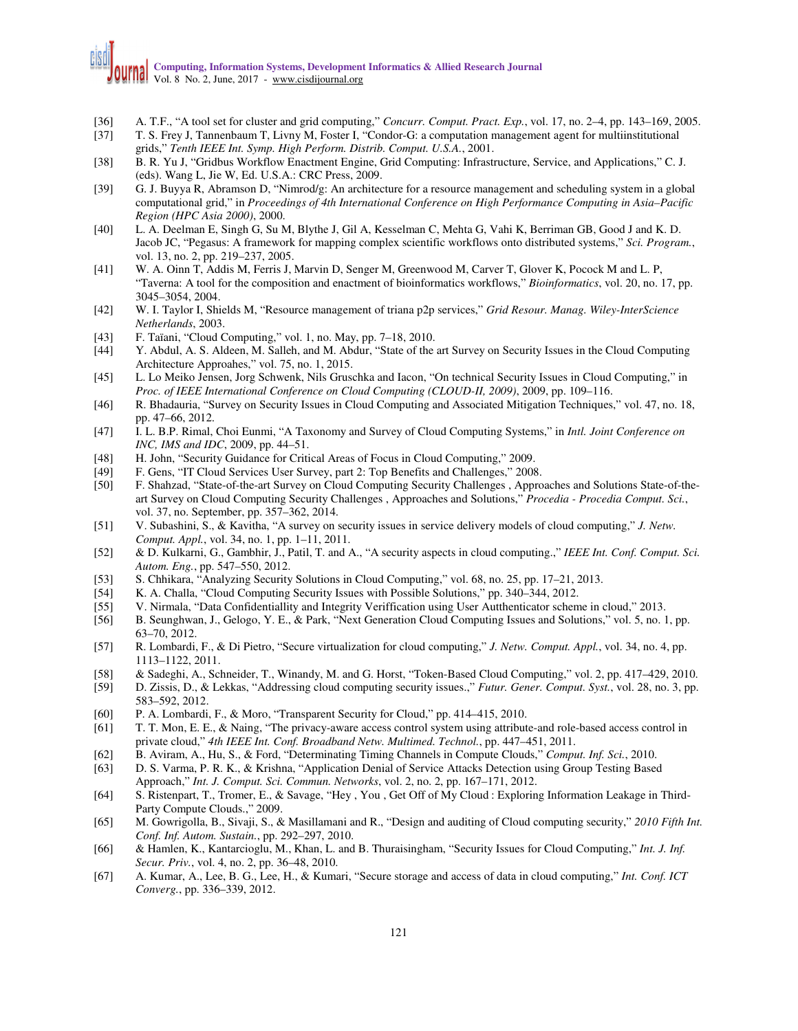# **Computing, Information Systems, Development Informatics & Allied Research Journal**  Vol. 8 No. 2, June, 2017 - www.cisdijournal.org

- [36] A. T.F., "A tool set for cluster and grid computing," *Concurr. Comput. Pract. Exp.*, vol. 17, no. 2–4, pp. 143–169, 2005.
- [37] T. S. Frey J, Tannenbaum T, Livny M, Foster I, "Condor-G: a computation management agent for multiinstitutional grids," *Tenth IEEE Int. Symp. High Perform. Distrib. Comput. U.S.A.*, 2001.
- [38] B. R. Yu J, "Gridbus Workflow Enactment Engine, Grid Computing: Infrastructure, Service, and Applications," C. J. (eds). Wang L, Jie W, Ed. U.S.A.: CRC Press, 2009.
- [39] G. J. Buyya R, Abramson D, "Nimrod/g: An architecture for a resource management and scheduling system in a global computational grid," in *Proceedings of 4th International Conference on High Performance Computing in Asia–Pacific Region (HPC Asia 2000)*, 2000.
- [40] L. A. Deelman E, Singh G, Su M, Blythe J, Gil A, Kesselman C, Mehta G, Vahi K, Berriman GB, Good J and K. D. Jacob JC, "Pegasus: A framework for mapping complex scientific workflows onto distributed systems," *Sci. Program.*, vol. 13, no. 2, pp. 219–237, 2005.
- [41] W. A. Oinn T, Addis M, Ferris J, Marvin D, Senger M, Greenwood M, Carver T, Glover K, Pocock M and L. P, "Taverna: A tool for the composition and enactment of bioinformatics workflows," *Bioinformatics*, vol. 20, no. 17, pp. 3045–3054, 2004.
- [42] W. I. Taylor I, Shields M, "Resource management of triana p2p services," *Grid Resour. Manag. Wiley-InterScience Netherlands*, 2003.
- [43] F. Taïani, "Cloud Computing," vol. 1, no. May, pp. 7–18, 2010.
- [44] Y. Abdul, A. S. Aldeen, M. Salleh, and M. Abdur, "State of the art Survey on Security Issues in the Cloud Computing Architecture Approahes," vol. 75, no. 1, 2015.
- [45] L. Lo Meiko Jensen, Jorg Schwenk, Nils Gruschka and Iacon, "On technical Security Issues in Cloud Computing," in *Proc. of IEEE International Conference on Cloud Computing (CLOUD-II, 2009)*, 2009, pp. 109–116.
- [46] R. Bhadauria, "Survey on Security Issues in Cloud Computing and Associated Mitigation Techniques," vol. 47, no. 18, pp. 47–66, 2012.
- [47] I. L. B.P. Rimal, Choi Eunmi, "A Taxonomy and Survey of Cloud Computing Systems," in *Intl. Joint Conference on INC, IMS and IDC*, 2009, pp. 44–51.
- [48] H. John, "Security Guidance for Critical Areas of Focus in Cloud Computing," 2009.
- [49] F. Gens, "IT Cloud Services User Survey, part 2: Top Benefits and Challenges," 2008.
- [50] F. Shahzad, "State-of-the-art Survey on Cloud Computing Security Challenges , Approaches and Solutions State-of-theart Survey on Cloud Computing Security Challenges , Approaches and Solutions," *Procedia - Procedia Comput. Sci.*, vol. 37, no. September, pp. 357–362, 2014.
- [51] V. Subashini, S., & Kavitha, "A survey on security issues in service delivery models of cloud computing," *J. Netw. Comput. Appl.*, vol. 34, no. 1, pp. 1–11, 2011.
- [52] & D. Kulkarni, G., Gambhir, J., Patil, T. and A., "A security aspects in cloud computing.," *IEEE Int. Conf. Comput. Sci. Autom. Eng.*, pp. 547–550, 2012.
- [53] S. Chhikara, "Analyzing Security Solutions in Cloud Computing," vol. 68, no. 25, pp. 17–21, 2013.
- [54] K. A. Challa, "Cloud Computing Security Issues with Possible Solutions," pp. 340–344, 2012.
- [55] V. Nirmala, "Data Confidentiallity and Integrity Veriffication using User Autthenticator scheme in cloud," 2013.
- [56] B. Seunghwan, J., Gelogo, Y. E., & Park, "Next Generation Cloud Computing Issues and Solutions," vol. 5, no. 1, pp. 63–70, 2012.
- [57] R. Lombardi, F., & Di Pietro, "Secure virtualization for cloud computing," *J. Netw. Comput. Appl.*, vol. 34, no. 4, pp. 1113–1122, 2011.
- [58] & Sadeghi, A., Schneider, T., Winandy, M. and G. Horst, "Token-Based Cloud Computing," vol. 2, pp. 417–429, 2010.
- [59] D. Zissis, D., & Lekkas, "Addressing cloud computing security issues.," *Futur. Gener. Comput. Syst.*, vol. 28, no. 3, pp. 583–592, 2012.
- [60] P. A. Lombardi, F., & Moro, "Transparent Security for Cloud," pp. 414–415, 2010.
- [61] T. T. Mon, E. E., & Naing, "The privacy-aware access control system using attribute-and role-based access control in private cloud," *4th IEEE Int. Conf. Broadband Netw. Multimed. Technol.*, pp. 447–451, 2011.
- [62] B. Aviram, A., Hu, S., & Ford, "Determinating Timing Channels in Compute Clouds," *Comput. Inf. Sci.*, 2010.
- [63] D. S. Varma, P. R. K., & Krishna, "Application Denial of Service Attacks Detection using Group Testing Based Approach," *Int. J. Comput. Sci. Commun. Networks*, vol. 2, no. 2, pp. 167–171, 2012.
- [64] S. Ristenpart, T., Tromer, E., & Savage, "Hey , You , Get Off of My Cloud : Exploring Information Leakage in Third-Party Compute Clouds.," 2009.
- [65] M. Gowrigolla, B., Sivaji, S., & Masillamani and R., "Design and auditing of Cloud computing security," *2010 Fifth Int. Conf. Inf. Autom. Sustain.*, pp. 292–297, 2010.
- [66] & Hamlen, K., Kantarcioglu, M., Khan, L. and B. Thuraisingham, "Security Issues for Cloud Computing," *Int. J. Inf. Secur. Priv.*, vol. 4, no. 2, pp. 36–48, 2010.
- [67] A. Kumar, A., Lee, B. G., Lee, H., & Kumari, "Secure storage and access of data in cloud computing," *Int. Conf. ICT Converg.*, pp. 336–339, 2012.